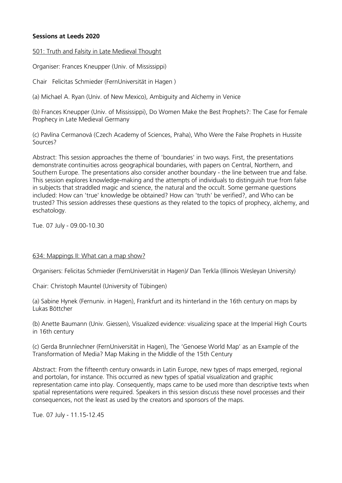# **Sessions at Leeds 2020**

501: Truth and Falsity in Late Medieval Thought

Organiser: Frances Kneupper (Univ. of Mississippi)

Chair Felicitas Schmieder (FernUniversität in Hagen )

(a) Michael A. Ryan (Univ. of New Mexico), Ambiguity and Alchemy in Venice

(b) Frances Kneupper (Univ. of Mississippi), Do Women Make the Best Prophets?: The Case for Female Prophecy in Late Medieval Germany

(c) Pavlína Cermanová (Czech Academy of Sciences, Praha), Who Were the False Prophets in Hussite Sources?

Abstract: This session approaches the theme of 'boundaries' in two ways. First, the presentations demonstrate continuities across geographical boundaries, with papers on Central, Northern, and Southern Europe. The presentations also consider another boundary - the line between true and false. This session explores knowledge-making and the attempts of individuals to distinguish true from false in subjects that straddled magic and science, the natural and the occult. Some germane questions included: How can 'true' knowledge be obtained? How can 'truth' be verified?, and Who can be trusted? This session addresses these questions as they related to the topics of prophecy, alchemy, and eschatology.

Tue. 07 July - 09.00-10.30

#### 634: Mappings II: What can a map show?

Organisers: Felicitas Schmieder (FernUniversität in Hagen)/ Dan Terkla (Illinois Wesleyan University)

Chair: Christoph Mauntel (University of Tübingen)

(a) Sabine Hynek (Fernuniv. in Hagen), Frankfurt and its hinterland in the 16th century on maps by Lukas Böttcher

(b) Anette Baumann (Univ. Giessen), Visualized evidence: visualizing space at the Imperial High Courts in 16th century

(c) Gerda Brunnlechner (FernUniversität in Hagen), The 'Genoese World Map' as an Example of the Transformation of Media? Map Making in the Middle of the 15th Century

Abstract: From the fifteenth century onwards in Latin Europe, new types of maps emerged, regional and portolan, for instance. This occurred as new types of spatial visualization and graphic representation came into play. Consequently, maps came to be used more than descriptive texts when spatial representations were required. Speakers in this session discuss these novel processes and their consequences, not the least as used by the creators and sponsors of the maps.

Tue. 07 July - 11.15-12.45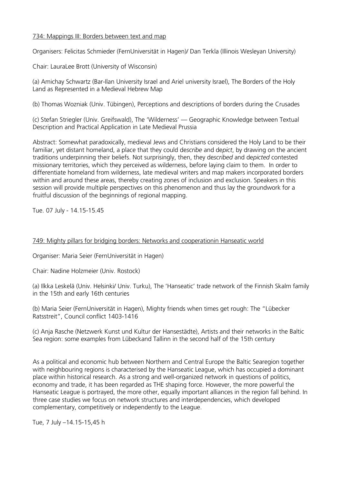# 734: Mappings III: Borders between text and map

Organisers: Felicitas Schmieder (FernUniversität in Hagen)/ Dan Terkla (Illinois Wesleyan University)

Chair: LauraLee Brott (University of Wisconsin)

(a) Amichay Schwartz (Bar-Ilan University Israel and Ariel university Israel), The Borders of the Holy Land as Represented in a Medieval Hebrew Map

(b) Thomas Wozniak (Univ. Tübingen), Perceptions and descriptions of borders during the Crusades

(c) Stefan Striegler (Univ. Greifswald), The 'Wilderness' — Geographic Knowledge between Textual Description and Practical Application in Late Medieval Prussia

Abstract: Somewhat paradoxically, medieval Jews and Christians considered the Holy Land to be their familiar, yet distant homeland, a place that they could de*scribe* and de*pict*, by drawing on the ancient traditions underpinning their beliefs. Not surprisingly, then, they de*scribed* and de*picted* contested missionary territories, which they perceived as wilderness, before laying claim to them. In order to differentiate homeland from wilderness, late medieval writers and map makers incorporated borders within and around these areas, thereby creating zones of inclusion and exclusion. Speakers in this session will provide multiple perspectives on this phenomenon and thus lay the groundwork for a fruitful discussion of the beginnings of regional mapping.

Tue. 07 July - 14.15-15.45

# 749: Mighty pillars for bridging borders: Networks and cooperationin Hanseatic world

Organiser: Maria Seier (FernUniversität in Hagen)

Chair: Nadine Holzmeier (Univ. Rostock)

(a) Ilkka Leskelä (Univ. Helsinki/ Univ. Turku), The 'Hanseatic' trade network of the Finnish Skalm family in the 15th and early 16th centuries

(b) Maria Seier (FernUniversität in Hagen), Mighty friends when times get rough: The "Lübecker Ratsstreit", Council conflict 1403-1416

(c) Anja Rasche (Netzwerk Kunst und Kultur der Hansestädte), Artists and their networks in the Baltic Sea region: some examples from Lübeckand Tallinn in the second half of the 15th century

As a political and economic hub between Northern and Central Europe the Baltic Searegion together with neighbouring regions is characterised by the Hanseatic League, which has occupied a dominant place within historical research. As a strong and well-organized network in questions of politics, economy and trade, it has been regarded as THE shaping force. However, the more powerful the Hanseatic League is portrayed, the more other, equally important alliances in the region fall behind. In three case studies we focus on network structures and interdependencies, which developed complementary, competitively or independently to the League.

Tue, 7 July –14.15-15,45 h